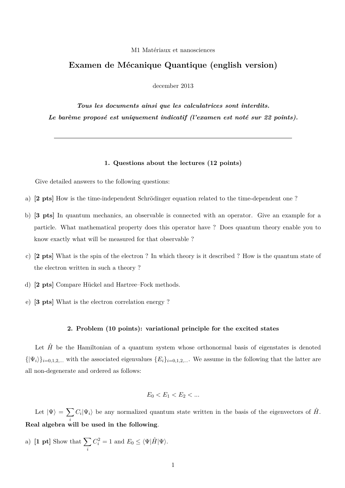## M1 Matériaux et nanosciences

## **Examen de Mécanique Quantique (english version)**

december 2013

*Tous les documents ainsi que les calculatrices sont interdits. Le barème proposé est uniquement indicatif (l'examen est noté sur 22 points).*

## **1. Questions about the lectures (12 points)**

Give detailed answers to the following questions:

- a) **[2 pts]** How is the time-independent Schrödinger equation related to the time-dependent one ?
- b) **[3 pts]** In quantum mechanics, an observable is connected with an operator. Give an example for a particle. What mathematical property does this operator have ? Does quantum theory enable you to know exactly what will be measured for that observable ?
- c) **[2 pts]** What is the spin of the electron ? In which theory is it described ? How is the quantum state of the electron written in such a theory ?
- d) **[2 pts]** Compare Hückel and Hartree–Fock methods.
- e) **[3 pts]** What is the electron correlation energy ?

## **2. Problem (10 points): variational principle for the excited states**

Let  $\hat{H}$  be the Hamiltonian of a quantum system whose orthonormal basis of eigenstates is denoted  $\{|\Psi_i\rangle\}_{i=0,1,2,...}$  with the associated eigenvalues  $\{E_i\}_{i=0,1,2,...}$ . We assume in the following that the latter are all non-degenerate and ordered as follows:

$$
E_0 < E_1 < E_2 < \dots
$$

Let  $|\Psi\rangle = \sum$ *i*  $C_i|\Psi_i\rangle$  be any normalized quantum state written in the basis of the eigenvectors of  $\hat{H}$ . **Real algebra will be used in the following**.

a)  $\begin{bmatrix} 1 & pt \end{bmatrix}$  Show that  $\sum$ *i*  $C_i^2 = 1$  and  $E_0 \le \langle \Psi | \hat{H} | \Psi \rangle$ .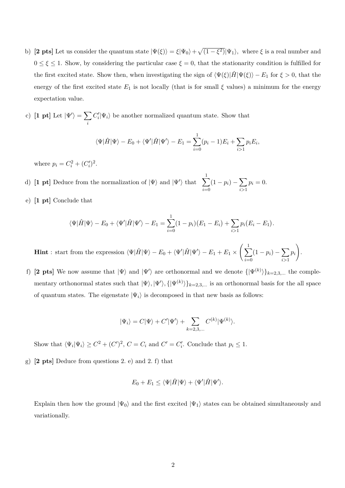- b) **[2 pts]** Let us consider the quantum state  $|\Psi(\xi)\rangle = \xi |\Psi_0\rangle + \sqrt{(1 \xi^2)} |\Psi_1\rangle$ , where  $\xi$  is a real number and  $0 \leq \xi \leq 1$ . Show, by considering the particular case  $\xi = 0$ , that the stationarity condition is fulfilled for the first excited state. Show then, when investigating the sign of  $\langle \Psi(\xi)|\hat{H}|\Psi(\xi)\rangle - E_1$  for  $\xi > 0$ , that the energy of the first excited state  $E_1$  is not locally (that is for small  $\xi$  values) a minimum for the energy expectation value.
- c) [1 pt] Let  $|\Psi'\rangle = \sum$ *i*  $C_i'|\Psi_i\rangle$  be another normalized quantum state. Show that

$$
\langle \Psi | \hat{H} | \Psi \rangle - E_0 + \langle \Psi' | \hat{H} | \Psi' \rangle - E_1 = \sum_{i=0}^1 (p_i - 1) E_i + \sum_{i>1} p_i E_i,
$$

where  $p_i = C_i^2 + (C_i')^2$ .

- d) [1 pt] Deduce from the normalization of  $|\Psi\rangle$  and  $|\Psi'\rangle$  that  $\sum_{i=1}^{n}$ *i*=0  $(1 - p_i) - \sum$ *i>*1  $p_i = 0.$
- e) **[1 pt]** Conclude that

$$
\langle \Psi | \hat{H} | \Psi \rangle - E_0 + \langle \Psi' | \hat{H} | \Psi' \rangle - E_1 = \sum_{i=0}^1 (1 - p_i)(E_1 - E_i) + \sum_{i>1} p_i (E_i - E_1).
$$

**Hint**: start from the expression  $\langle \Psi | \hat{H} | \Psi \rangle - E_0 + \langle \Psi' | \hat{H} | \Psi' \rangle - E_1 + E_1 \times \left( \sum_{i=1}^{\infty} \frac{1}{i} \right)$ *i*=0  $(1 - p_i) - \sum$ *i>*1 *pi*  $\lambda$ 

f) [2 pts] We now assume that  $|\Psi\rangle$  and  $|\Psi'\rangle$  are orthonormal and we denote  $\{|\Psi^{(k)}\rangle\}_{k=2,3,...}$  the complementary orthonormal states such that  $|\Psi\rangle, |\Psi'\rangle, {\{|\Psi^{(k)}\rangle\}}_{k=2,3,...}$  is an orthonormal basis for the all space of quantum states. The eigenstate  $|\Psi_i\rangle$  is decomposed in that new basis as follows:

.

$$
|\Psi_i\rangle = C|\Psi\rangle + C'|\Psi'\rangle + \sum_{k=2,3,\ldots} C^{(k)} |\Psi^{(k)}\rangle.
$$

Show that  $\langle \Psi_i | \Psi_i \rangle \ge C^2 + (C')^2$ ,  $C = C_i$  and  $C' = C'_i$ . Conclude that  $p_i \le 1$ .

g) **[2 pts]** Deduce from questions 2. e) and 2. f) that

$$
E_0 + E_1 \leq \langle \Psi | \hat{H} | \Psi \rangle + \langle \Psi' | \hat{H} | \Psi' \rangle.
$$

Explain then how the ground  $|\Psi_0\rangle$  and the first excited  $|\Psi_1\rangle$  states can be obtained simultaneously and variationally.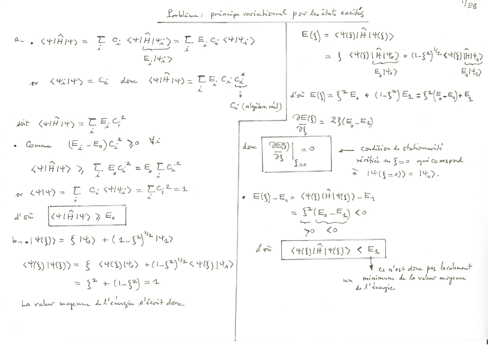$$
A = \sqrt{41\hat{H}}|4\gamma = \sum_{x} C_{x} \sqrt{41\hat{H}}|4\gamma = \sum_{x} C_{x} \sqrt{41\hat{H}}|4\gamma = \sum_{x} C_{x} \sqrt{41\hat{H}}|4\gamma = \sum_{x} C_{x} \sqrt{41\hat{H}}|4\gamma = \sum_{x} C_{x} \sqrt{41\hat{H}}|4\gamma = \sum_{x} C_{x} \sqrt{41\hat{H}}|4\gamma = \sum_{x} C_{x} \sqrt{41\hat{H}}|4\gamma = \sum_{x} C_{x} \sqrt{41\hat{H}}|4\gamma = \sum_{x} C_{x} \sqrt{41\hat{H}}|4\gamma = \sum_{x} C_{x} \sqrt{41\hat{H}}|4\gamma = \sum_{x} C_{x} \sqrt{41\hat{H}}|4\gamma = \sum_{x} C_{x} \sqrt{41\hat{H}}|4\gamma = \sum_{x} C_{x} \sqrt{41\hat{H}}|4\gamma = \sum_{x} C_{x} \sqrt{41\hat{H}}|4\gamma = \sum_{x} C_{x} \sqrt{41\hat{H}}|4\gamma = \sum_{x} C_{x} \sqrt{41\hat{H}}|4\gamma = \sum_{x} C_{x} \sqrt{41\hat{H}}|4\gamma = \sum_{x} C_{x} \sqrt{41\hat{H}}|4\gamma = \sum_{x} C_{x} \sqrt{41\hat{H}}|4\gamma = \sum_{x} C_{x} \sqrt{41\hat{H}}|4\gamma = \sum_{x} C_{x} \sqrt{41\hat{H}}|4\gamma = \sum_{x} C_{x} \sqrt{41\hat{H}}|4\gamma = \sum_{x} C_{x} \sqrt{41\hat{H}}|4\gamma = \sum_{x} C_{x} \sqrt{41\hat{H}}|4\gamma = \sum_{x} C_{x} \sqrt{41\hat{H}}|4\gamma = \sum_{x} C_{x} \sqrt{41\hat{H}}|4\gamma = \sum_{x} C_{x} \sqrt{41\hat{H}}|4\gamma = \sum_{x} C_{x} \sqrt{41\hat{H}}|4\gamma = \sum_{x} C_{x} \sqrt{41\hat{H}}|4\gamma = \sum_{x} C_{x} \sqrt{41\hat{H}}|4\gamma = \sum_{x} C_{x} \sqrt{41\hat{H}}|4\
$$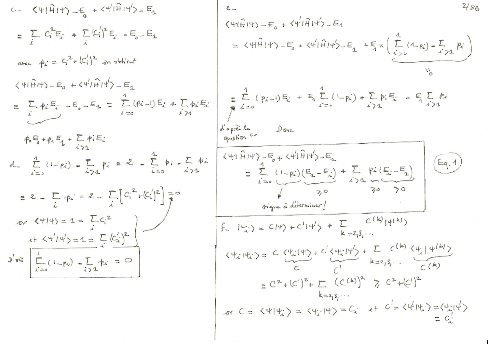c = 
$$
\langle \psi | \hat{H} | \psi \rangle = \epsilon_{0} + \langle \psi | \hat{H} | \psi \rangle = \epsilon_{3}
$$
  
\n=  $\sum_{i} C_{i}^{2} E_{i} + \sum_{i} [c_{i}^{1}]^{2} E_{i} - E_{0} - E_{4}$   
\nare  $h_{i} = C_{i}^{2} + (c_{i}^{1})^{2} + \epsilon_{0} + \epsilon_{0} + \epsilon_{1} + \epsilon_{1} + \epsilon_{1} + \epsilon_{1} + \epsilon_{1} + \epsilon_{1} + \epsilon_{1} + \epsilon_{1} + \epsilon_{1} + \epsilon_{1} + \epsilon_{1} + \epsilon_{1} + \epsilon_{1} + \epsilon_{1} + \epsilon_{1} + \epsilon_{1} + \epsilon_{1} + \epsilon_{1} + \epsilon_{1} + \epsilon_{1} + \epsilon_{1} + \epsilon_{1} + \epsilon_{1} + \epsilon_{1} + \epsilon_{1} + \epsilon_{1} + \epsilon_{1} + \epsilon_{1} + \epsilon_{1} + \epsilon_{1} + \epsilon_{1} + \epsilon_{1} + \epsilon_{1} + \epsilon_{1} + \epsilon_{1} + \epsilon_{1} + \epsilon_{1} + \epsilon_{1} + \epsilon_{1} + \epsilon_{1} + \epsilon_{1} + \epsilon_{1} + \epsilon_{1} + \epsilon_{1} + \epsilon_{1} + \epsilon_{1} + \epsilon_{1} + \epsilon_{1} + \epsilon_{1} + \epsilon_{1} + \epsilon_{1} + \epsilon_{1} + \epsilon_{1} + \epsilon_{1} + \epsilon_{1} + \epsilon_{1} + \epsilon_{1} + \epsilon_{1} + \epsilon_{1} + \epsilon_{1} + \epsilon_{1} + \epsilon_{1} + \epsilon_{1} + \epsilon_{1} + \epsilon_{1} + \epsilon_{1} + \epsilon_{1} + \epsilon_{1} + \epsilon_{1} + \epsilon_{1} + \epsilon_{1} + \epsilon_{1} + \epsilon_{1} + \epsilon_{1} + \epsilon_{1} + \epsilon_{1} + \epsilon_{1} + \epsilon_{1} + \epsilon_{1} + \epsilon_{1} + \epsilon_{1} + \epsilon_{1} + \epsilon_{1} + \epsilon_{1} + \epsilon_{1} + \epsilon_{1} + \epsilon_{1} + \epsilon_{1} + \epsilon_{1} + \epsilon_{1} + \epsilon_{1} + \epsilon_{1} + \epsilon_{1} + \epsilon_{1} + \epsilon_{1} + \epsilon_{1} + \epsilon_{1} + \epsilon_{1} + \epsilon_{1} + \epsilon_{1} + \epsilon_{1} + \epsilon_{1} + \epsilon_{1}$